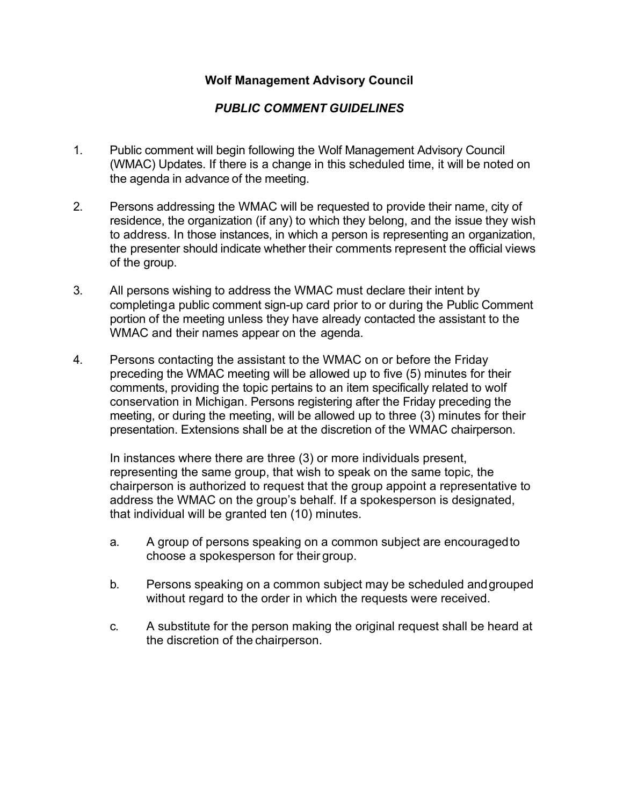## **Wolf Management Advisory Council**

## *PUBLIC COMMENT GUIDELINES*

- 1. Public comment will begin following the Wolf Management Advisory Council (WMAC) Updates. If there is a change in this scheduled time, it will be noted on the agenda in advance of the meeting.
- 2. Persons addressing the WMAC will be requested to provide their name, city of residence, the organization (if any) to which they belong, and the issue they wish to address. In those instances, in which a person is representing an organization, the presenter should indicate whether their comments represent the official views of the group.
- 3. All persons wishing to address the WMAC must declare their intent by completinga public comment sign-up card prior to or during the Public Comment portion of the meeting unless they have already contacted the assistant to the WMAC and their names appear on the agenda.
- 4. Persons contacting the assistant to the WMAC on or before the Friday preceding the WMAC meeting will be allowed up to five (5) minutes for their comments, providing the topic pertains to an item specifically related to wolf conservation in Michigan. Persons registering after the Friday preceding the meeting, or during the meeting, will be allowed up to three (3) minutes for their presentation. Extensions shall be at the discretion of the WMAC chairperson.

In instances where there are three (3) or more individuals present, representing the same group, that wish to speak on the same topic, the chairperson is authorized to request that the group appoint a representative to address the WMAC on the group's behalf. If a spokesperson is designated, that individual will be granted ten (10) minutes.

- a. A group of persons speaking on a common subject are encouragedto choose a spokesperson for their group.
- b. Persons speaking on a common subject may be scheduled andgrouped without regard to the order in which the requests were received.
- c. A substitute for the person making the original request shall be heard at the discretion of the chairperson.